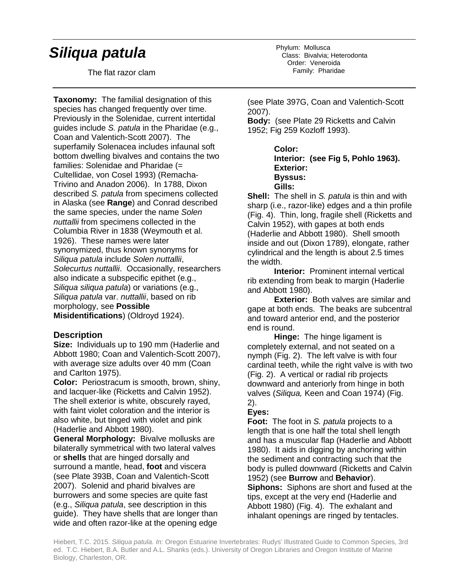# *Siliqua patula*

The flat razor clam

**Taxonomy:** The familial designation of this species has changed frequently over time. Previously in the Solenidae, current intertidal guides include *S. patula* in the Pharidae (e.g., Coan and Valentich-Scott 2007). The superfamily Solenacea includes infaunal soft bottom dwelling bivalves and contains the two families: Solenidae and Pharidae (= Cultellidae, von Cosel 1993) (Remacha-Trivino and Anadon 2006). In 1788, Dixon described *S. patula* from specimens collected in Alaska (see **Range**) and Conrad described the same species, under the name *Solen nuttallii* from specimens collected in the Columbia River in 1838 (Weymouth et al. 1926). These names were later synonymized, thus known synonyms for *Siliqua patula* include *Solen nuttallii*, *Solecurtus nuttallii*. Occasionally, researchers also indicate a subspecific epithet (e.g., *Siliqua siliqua patula*) or variations (e.g., *Siliqua patula* var. *nuttallii*, based on rib morphology, see **Possible Misidentifications**) (Oldroyd 1924).

#### **Description**

**Size:** Individuals up to 190 mm (Haderlie and Abbott 1980; Coan and Valentich-Scott 2007), with average size adults over 40 mm (Coan and Carlton 1975).

**Color:** Periostracum is smooth, brown, shiny, and lacquer-like (Ricketts and Calvin 1952). The shell exterior is white, obscurely rayed, with faint violet coloration and the interior is also white, but tinged with violet and pink (Haderlie and Abbott 1980).

**General Morphology:** Bivalve mollusks are bilaterally symmetrical with two lateral valves or **shells** that are hinged dorsally and surround a mantle, head, **foot** and viscera (see Plate 393B, Coan and Valentich-Scott 2007). Solenid and pharid bivalves are burrowers and some species are quite fast (e.g., *Siliqua patula*, see description in this guide). They have shells that are longer than wide and often razor-like at the opening edge

Phylum: Mollusca Class: Bivalvia; Heterodonta Order: Veneroida Family: Pharidae

(see Plate 397G, Coan and Valentich-Scott 2007).

**Body:** (see Plate 29 Ricketts and Calvin 1952; Fig 259 Kozloff 1993).

> **Color: Interior: (see Fig 5, Pohlo 1963). Exterior: Byssus: Gills:**

**Shell:** The shell in *S. patula* is thin and with sharp (i.e., razor-like) edges and a thin profile (Fig. 4). Thin, long, fragile shell (Ricketts and Calvin 1952), with gapes at both ends (Haderlie and Abbott 1980). Shell smooth inside and out (Dixon 1789), elongate, rather cylindrical and the length is about 2.5 times the width.

**Interior:** Prominent internal vertical rib extending from beak to margin (Haderlie and Abbott 1980).

**Exterior:** Both valves are similar and gape at both ends. The beaks are subcentral and toward anterior end, and the posterior end is round.

**Hinge:** The hinge ligament is completely external, and not seated on a nymph (Fig. 2). The left valve is with four cardinal teeth, while the right valve is with two (Fig. 2). A vertical or radial rib projects downward and anteriorly from hinge in both valves (*Siliqua,* Keen and Coan 1974) (Fig. 2).

### **Eyes:**

**Foot:** The foot in *S. patula* projects to a length that is one half the total shell length and has a muscular flap (Haderlie and Abbott 1980). It aids in digging by anchoring within the sediment and contracting such that the body is pulled downward (Ricketts and Calvin 1952) (see **Burrow** and **Behavior**). **Siphons:** Siphons are short and fused at the tips, except at the very end (Haderlie and Abbott 1980) (Fig. 4). The exhalant and inhalant openings are ringed by tentacles.

Hiebert, T.C. 2015. *Siliqua patula. In:* Oregon Estuarine Invertebrates: Rudys' Illustrated Guide to Common Species, 3rd ed. T.C. Hiebert, B.A. Butler and A.L. Shanks (eds.). University of Oregon Libraries and Oregon Institute of Marine Biology, Charleston, OR.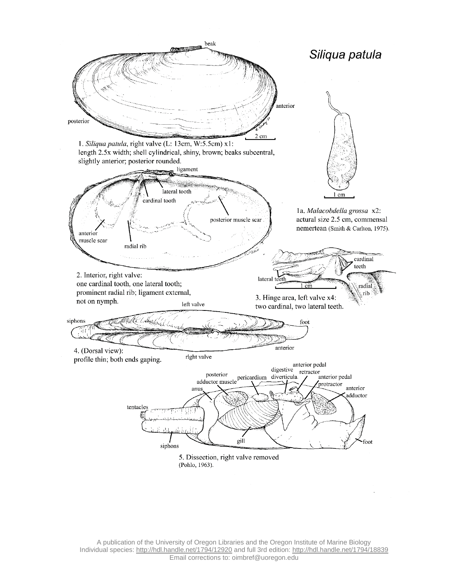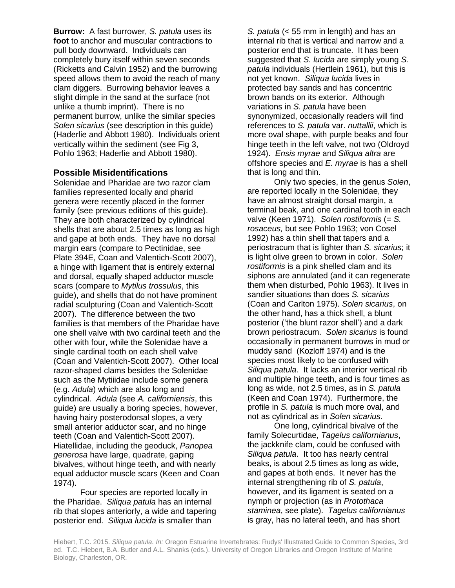**Burrow:** A fast burrower, *S. patula* uses its **foot** to anchor and muscular contractions to pull body downward. Individuals can completely bury itself within seven seconds (Ricketts and Calvin 1952) and the burrowing speed allows them to avoid the reach of many clam diggers. Burrowing behavior leaves a slight dimple in the sand at the surface (not unlike a thumb imprint). There is no permanent burrow, unlike the similar species *Solen sicarius* (see description in this guide) (Haderlie and Abbott 1980). Individuals orient vertically within the sediment (see Fig 3, Pohlo 1963; Haderlie and Abbott 1980).

#### **Possible Misidentifications**

Solenidae and Pharidae are two razor clam families represented locally and pharid genera were recently placed in the former family (see previous editions of this guide). They are both characterized by cylindrical shells that are about 2.5 times as long as high and gape at both ends. They have no dorsal margin ears (compare to Pectinidae, see Plate 394E, Coan and Valentich-Scott 2007), a hinge with ligament that is entirely external and dorsal, equally shaped adductor muscle scars (compare to *Mytilus trossulus*, this guide), and shells that do not have prominent radial sculpturing (Coan and Valentich-Scott 2007). The difference between the two families is that members of the Pharidae have one shell valve with two cardinal teeth and the other with four, while the Solenidae have a single cardinal tooth on each shell valve (Coan and Valentich-Scott 2007). Other local razor-shaped clams besides the Solenidae such as the Mytiiidae include some genera (e.g. *Adula*) which are also long and cylindrical. *Adula* (see *A. californiensis*, this guide) are usually a boring species, however, having hairy posterodorsal slopes, a very small anterior adductor scar, and no hinge teeth (Coan and Valentich-Scott 2007). Hiatellidae, including the geoduck, *Panopea generosa* have large, quadrate, gaping bivalves, without hinge teeth, and with nearly equal adductor muscle scars (Keen and Coan 1974).

Four species are reported locally in the Pharidae. *Siliqua patula* has an internal rib that slopes anteriorly, a wide and tapering posterior end. *Siliqua lucida* is smaller than

*S. patula* (< 55 mm in length) and has an internal rib that is vertical and narrow and a posterior end that is truncate. It has been suggested that *S. lucida* are simply young *S. patula* individuals (Hertlein 1961), but this is not yet known. *Siliqua lucida* lives in protected bay sands and has concentric brown bands on its exterior. Although variations in *S. patula* have been synonymized, occasionally readers will find references to *S. patula* var. *nuttallii*, which is more oval shape, with purple beaks and four hinge teeth in the left valve, not two (Oldroyd 1924). *Ensis myrae* and *Siliqua altra* are offshore species and *E. myrae* is has a shell that is long and thin.

Only two species, in the genus *Solen*, are reported locally in the Solenidae, they have an almost straight dorsal margin, a terminal beak, and one cardinal tooth in each valve (Keen 1971). *Solen rostiformis* (= *S. rosaceus,* but see Pohlo 1963; von Cosel 1992) has a thin shell that tapers and a periostracum that is lighter than *S. sicarius*; it is light olive green to brown in color. *Solen rostiformis* is a pink shelled clam and its siphons are annulated (and it can regenerate them when disturbed, Pohlo 1963). It lives in sandier situations than does *S. sicarius* (Coan and Carlton 1975). *Solen sicarius*, on the other hand, has a thick shell, a blunt posterior ('the blunt razor shell') and a dark brown periostracum. *Solen sicarius* is found occasionally in permanent burrows in mud or muddy sand (Kozloff 1974) and is the species most likely to be confused with *Siliqua patula*. It lacks an interior vertical rib and multiple hinge teeth, and is four times as long as wide, not 2.5 times, as in *S. patula* (Keen and Coan 1974). Furthermore, the profile in *S. patula* is much more oval, and not as cylindrical as in *Solen sicarius.*

One long, cylindrical bivalve of the family Solecurtidae, *Tagelus californianus*, the jackknife clam, could be confused with *Siliqua patula*. It too has nearly central beaks, is about 2.5 times as long as wide, and gapes at both ends. It never has the internal strengthening rib of *S. patula*, however, and its ligament is seated on a nymph or projection (as in *Protothaca staminea*, see plate). *Tagelus californianus* is gray, has no lateral teeth, and has short

Hiebert, T.C. 2015. *Siliqua patula. In:* Oregon Estuarine Invertebrates: Rudys' Illustrated Guide to Common Species, 3rd ed. T.C. Hiebert, B.A. Butler and A.L. Shanks (eds.). University of Oregon Libraries and Oregon Institute of Marine Biology, Charleston, OR.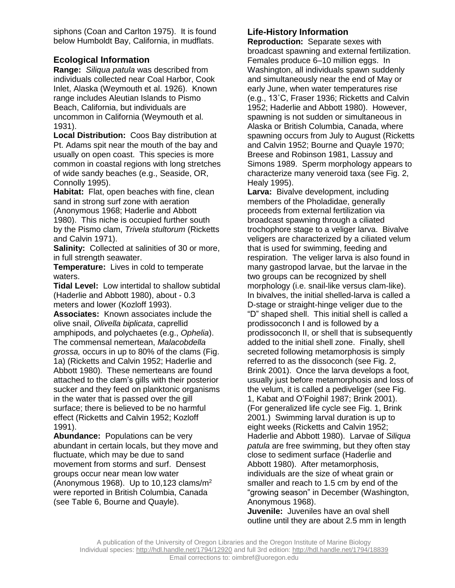siphons (Coan and Carlton 1975). It is found below Humboldt Bay, California, in mudflats.

# **Ecological Information**

**Range:** *Siliqua patula* was described from individuals collected near Coal Harbor, Cook Inlet, Alaska (Weymouth et al. 1926). Known range includes Aleutian Islands to Pismo Beach, California, but individuals are uncommon in California (Weymouth et al. 1931).

**Local Distribution:** Coos Bay distribution at Pt. Adams spit near the mouth of the bay and usually on open coast. This species is more common in coastal regions with long stretches of wide sandy beaches (e.g., Seaside, OR, Connolly 1995).

**Habitat:** Flat, open beaches with fine, clean sand in strong surf zone with aeration

(Anonymous 1968; Haderlie and Abbott 1980). This niche is occupied further south by the Pismo clam, *Trivela stultorum* (Ricketts and Calvin 1971).

**Salinity:** Collected at salinities of 30 or more, in full strength seawater.

**Temperature:** Lives in cold to temperate waters.

**Tidal Level:** Low intertidal to shallow subtidal (Haderlie and Abbott 1980), about - 0.3 meters and lower (Kozloff 1993).

**Associates:** Known associates include the olive snail, *Olivella biplicata*, caprellid amphipods, and polychaetes (e.g., *Ophelia*). The commensal nemertean, *Malacobdella grossa,* occurs in up to 80% of the clams (Fig. 1a) (Ricketts and Calvin 1952; Haderlie and Abbott 1980). These nemerteans are found attached to the clam's gills with their posterior sucker and they feed on planktonic organisms in the water that is passed over the gill surface; there is believed to be no harmful effect (Ricketts and Calvin 1952; Kozloff 1991).

**Abundance:** Populations can be very abundant in certain locals, but they move and fluctuate, which may be due to sand movement from storms and surf. Densest groups occur near mean low water (Anonymous 1968). Up to 10,123 clams/ $m<sup>2</sup>$ were reported in British Columbia, Canada (see Table 6, Bourne and Quayle).

# **Life-History Information**

**Reproduction:** Separate sexes with broadcast spawning and external fertilization. Females produce 6–10 million eggs. In Washington, all individuals spawn suddenly and simultaneously near the end of May or early June, when water temperatures rise (e.g., 13˚C, Fraser 1936; Ricketts and Calvin 1952; Haderlie and Abbott 1980). However, spawning is not sudden or simultaneous in Alaska or British Columbia, Canada, where spawning occurs from July to August (Ricketts and Calvin 1952; Bourne and Quayle 1970; Breese and Robinson 1981, Lassuy and Simons 1989. Sperm morphology appears to characterize many veneroid taxa (see Fig. 2, Healy 1995).

**Larva:** Bivalve development, including members of the Pholadidae, generally proceeds from external fertilization via broadcast spawning through a ciliated trochophore stage to a veliger larva. Bivalve veligers are characterized by a ciliated velum that is used for swimming, feeding and respiration. The veliger larva is also found in many gastropod larvae, but the larvae in the two groups can be recognized by shell morphology (i.e. snail-like versus clam-like). In bivalves, the initial shelled-larva is called a D-stage or straight-hinge veliger due to the "D" shaped shell. This initial shell is called a prodissoconch I and is followed by a prodissoconch II, or shell that is subsequently added to the initial shell zone. Finally, shell secreted following metamorphosis is simply referred to as the dissoconch (see Fig. 2, Brink 2001). Once the larva develops a foot, usually just before metamorphosis and loss of the velum, it is called a pediveliger (see Fig. 1, Kabat and O'Foighil 1987; Brink 2001). (For generalized life cycle see Fig. 1, Brink 2001.) Swimming larval duration is up to eight weeks (Ricketts and Calvin 1952; Haderlie and Abbott 1980). Larvae of *Siliqua patula* are free swimming, but they often stay close to sediment surface (Haderlie and Abbott 1980). After metamorphosis, individuals are the size of wheat grain or smaller and reach to 1.5 cm by end of the "growing season" in December (Washington, Anonymous 1968).

**Juvenile:** Juveniles have an oval shell outline until they are about 2.5 mm in length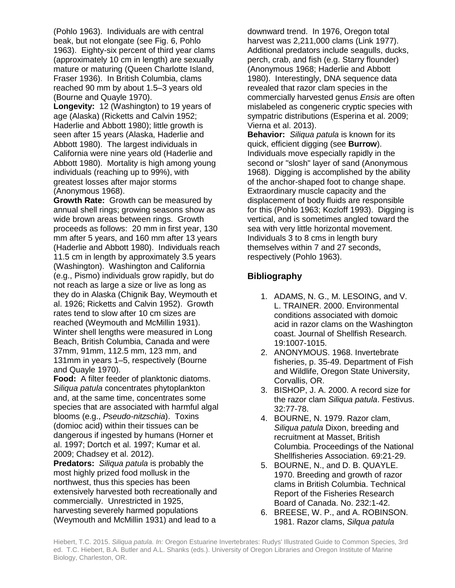(Pohlo 1963). Individuals are with central beak, but not elongate (see Fig. 6, Pohlo 1963). Eighty-six percent of third year clams (approximately 10 cm in length) are sexually mature or maturing (Queen Charlotte Island, Fraser 1936). In British Columbia, clams reached 90 mm by about 1.5–3 years old (Bourne and Quayle 1970).

**Longevity:** 12 (Washington) to 19 years of age (Alaska) (Ricketts and Calvin 1952; Haderlie and Abbott 1980); little growth is seen after 15 years (Alaska, Haderlie and Abbott 1980). The largest individuals in California were nine years old (Haderlie and Abbott 1980). Mortality is high among young individuals (reaching up to 99%), with greatest losses after major storms (Anonymous 1968).

**Growth Rate:** Growth can be measured by annual shell rings; growing seasons show as wide brown areas between rings. Growth proceeds as follows: 20 mm in first year, 130 mm after 5 years, and 160 mm after 13 years (Haderlie and Abbott 1980). Individuals reach 11.5 cm in length by approximately 3.5 years (Washington). Washington and California (e.g., Pismo) individuals grow rapidly, but do not reach as large a size or live as long as they do in Alaska (Chignik Bay, Weymouth et al. 1926; Ricketts and Calvin 1952). Growth rates tend to slow after 10 cm sizes are reached (Weymouth and McMillin 1931). Winter shell lengths were measured in Long Beach, British Columbia, Canada and were 37mm, 91mm, 112.5 mm, 123 mm, and 131mm in years 1–5, respectively (Bourne and Quayle 1970).

**Food:** A filter feeder of planktonic diatoms. *Siliqua patula* concentrates phytoplankton and, at the same time, concentrates some species that are associated with harmful algal blooms (e.g., *Pseudo-nitzschia*). Toxins (domioc acid) within their tissues can be dangerous if ingested by humans (Horner et al. 1997; Dortch et al. 1997; Kumar et al. 2009; Chadsey et al. 2012).

**Predators:** *Siliqua patula* is probably the most highly prized food mollusk in the northwest, thus this species has been extensively harvested both recreationally and commercially. Unrestricted in 1925, harvesting severely harmed populations (Weymouth and McMillin 1931) and lead to a

downward trend. In 1976, Oregon total harvest was 2,211,000 clams (Link 1977). Additional predators include seagulls, ducks, perch, crab, and fish (e.g. Starry flounder) (Anonymous 1968; Haderlie and Abbott 1980). Interestingly, DNA sequence data revealed that razor clam species in the commercially harvested genus *Ensis* are often mislabeled as congeneric cryptic species with sympatric distributions (Esperina et al. 2009; Vierna et al. 2013).

**Behavior:** *Siliqua patula* is known for its quick, efficient digging (see **Burrow**). Individuals move especially rapidly in the second or "slosh" layer of sand (Anonymous 1968). Digging is accomplished by the ability of the anchor-shaped foot to change shape. Extraordinary muscle capacity and the displacement of body fluids are responsible for this (Pohlo 1963; Kozloff 1993). Digging is vertical, and is sometimes angled toward the sea with very little horizontal movement. Individuals 3 to 8 cms in length bury themselves within 7 and 27 seconds, respectively (Pohlo 1963).

# **Bibliography**

- 1. ADAMS, N. G., M. LESOING, and V. L. TRAINER. 2000. Environmental conditions associated with domoic acid in razor clams on the Washington coast. Journal of Shellfish Research. 19:1007-1015.
- 2. ANONYMOUS. 1968. Invertebrate fisheries, p. 35-49. Department of Fish and Wildlife, Oregon State University, Corvallis, OR.
- 3. BISHOP, J. A. 2000. A record size for the razor clam *Siliqua patula*. Festivus. 32:77-78.
- 4. BOURNE, N. 1979. Razor clam, *Siliqua patula* Dixon, breeding and recruitment at Masset, British Columbia. Proceedings of the National Shellfisheries Association. 69:21-29.
- 5. BOURNE, N., and D. B. QUAYLE. 1970. Breeding and growth of razor clams in British Columbia. Technical Report of the Fisheries Research Board of Canada. No. 232:1-42.
- 6. BREESE, W. P., and A. ROBINSON. 1981. Razor clams, *Silqua patula*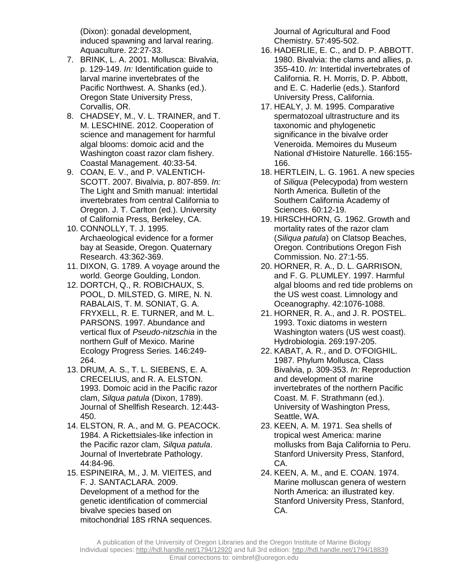(Dixon): gonadal development, induced spawning and larval rearing. Aquaculture. 22:27-33.

- 7. BRINK, L. A. 2001. Mollusca: Bivalvia, p. 129-149. *In:* Identification guide to larval marine invertebrates of the Pacific Northwest. A. Shanks (ed.). Oregon State University Press, Corvallis, OR.
- 8. CHADSEY, M., V. L. TRAINER, and T. M. LESCHINE. 2012. Cooperation of science and management for harmful algal blooms: domoic acid and the Washington coast razor clam fishery. Coastal Management. 40:33-54.
- 9. COAN, E. V., and P. VALENTICH-SCOTT. 2007. Bivalvia, p. 807-859. *In:* The Light and Smith manual: intertidal invertebrates from central California to Oregon. J. T. Carlton (ed.). University of California Press, Berkeley, CA.
- 10. CONNOLLY, T. J. 1995. Archaeological evidence for a former bay at Seaside, Oregon. Quaternary Research. 43:362-369.
- 11. DIXON, G. 1789. A voyage around the world. George Goulding, London.
- 12. DORTCH, Q., R. ROBICHAUX, S. POOL, D. MILSTED, G. MIRE, N. N. RABALAIS, T. M. SONIAT, G. A. FRYXELL, R. E. TURNER, and M. L. PARSONS. 1997. Abundance and vertical flux of *Pseudo-nitzschia* in the northern Gulf of Mexico. Marine Ecology Progress Series. 146:249- 264.
- 13. DRUM, A. S., T. L. SIEBENS, E. A. CRECELIUS, and R. A. ELSTON. 1993. Domoic acid in the Pacific razor clam, *Silqua patula* (Dixon, 1789). Journal of Shellfish Research. 12:443- 450.
- 14. ELSTON, R. A., and M. G. PEACOCK. 1984. A Rickettsiales-like infection in the Pacific razor clam, *Silqua patula*. Journal of Invertebrate Pathology. 44:84-96.
- 15. ESPINEIRA, M., J. M. VIEITES, and F. J. SANTACLARA. 2009. Development of a method for the genetic identification of commercial bivalve species based on mitochondrial 18S rRNA sequences.

Journal of Agricultural and Food Chemistry. 57:495-502.

- 16. HADERLIE, E. C., and D. P. ABBOTT. 1980. Bivalvia: the clams and allies, p. 355-410. *In:* Intertidal invertebrates of California. R. H. Morris, D. P. Abbott, and E. C. Haderlie (eds.). Stanford University Press, California.
- 17. HEALY, J. M. 1995. Comparative spermatozoal ultrastructure and its taxonomic and phylogenetic significance in the bivalve order Veneroida. Memoires du Museum National d'Histoire Naturelle. 166:155- 166.
- 18. HERTLEIN, L. G. 1961. A new species of *Siliqua* (Pelecypoda) from western North America. Bulletin of the Southern California Academy of Sciences. 60:12-19.
- 19. HIRSCHHORN, G. 1962. Growth and mortality rates of the razor clam (*Siliqua patula*) on Clatsop Beaches, Oregon. Contributions Oregon Fish Commission. No. 27:1-55.
- 20. HORNER, R. A., D. L. GARRISON, and F. G. PLUMLEY. 1997. Harmful algal blooms and red tide problems on the US west coast. Limnology and Oceanography. 42:1076-1088.
- 21. HORNER, R. A., and J. R. POSTEL. 1993. Toxic diatoms in western Washington waters (US west coast). Hydrobiologia. 269:197-205.
- 22. KABAT, A. R., and D. O'FOIGHIL. 1987. Phylum Mollusca, Class Bivalvia, p. 309-353. *In:* Reproduction and development of marine invertebrates of the northern Pacific Coast. M. F. Strathmann (ed.). University of Washington Press, Seattle, WA.
- 23. KEEN, A. M. 1971. Sea shells of tropical west America: marine mollusks from Baja California to Peru. Stanford University Press, Stanford, CA.
- 24. KEEN, A. M., and E. COAN. 1974. Marine molluscan genera of western North America: an illustrated key. Stanford University Press, Stanford, CA.